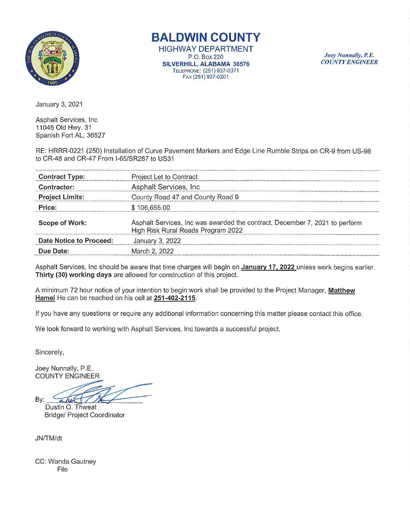

**BALDWIN COUNTY** 

HIGHWAY **DEPARTMENT**  P.O. Box220 **SILVERHILL, ALABAMA** 36576 TELEPHONE: (251 ) 937-0371 FAX (251) 937-0201

*Joey Nunnally, P.E. COUNTY ENGINEER* 

January 3, 2021

Asphalt Services, Inc 11045 Old Hwy. 31 Spanish Fort AL, 36527

RE: HRRR-0221 (250) Installation of Curve Pavement Markers and Edge Line Rumble Strips on CR-9 from US-98 to CR-48 and CR-47 From l-65/SR287 to US31

| <b>Contract Type:</b>   | Project Let to Contract                                                                                           |  |  |
|-------------------------|-------------------------------------------------------------------------------------------------------------------|--|--|
| Contractor:             | Asphalt Services, Inc.                                                                                            |  |  |
| <b>Project Limits:</b>  | County Road 47 and County Road 9                                                                                  |  |  |
| Price:                  | \$106,655.00                                                                                                      |  |  |
| <b>Scope of Work:</b>   | Asphalt Services, Inc was awarded the contract, December 7, 2021 to perform<br>High Risk Rural Roads Program 2022 |  |  |
| Date Notice to Proceed: | January 3, 2022                                                                                                   |  |  |
| Due Date:               | March 2, 2022                                                                                                     |  |  |

Asphalt Services, Inc should be aware that time charges will begin on January 17, 2022 unless work begins earlier. **Thirty (30) working days** are allowed for construction of this project.

A minimum 72 hour notice of your intention to begin work shall be provided to the Project Manager, **Matthew Hamel** He can be reached on his cell at **251 -402-2115.** 

If you have any questions or require any additional information concerning this matter please contact this office.

We look forward to working with Asphalt Services, Inc towards a successful project.

Sincerely,

Joey Nunnally, P.E. COUNTY ENGINEER

By: ok forward to working with Asphalt Services, Inc towards a successf<br>rely,<br>Nunnally, P.E.<br>NITY ENGINEER<br>Stin O. Thweat<br>dge/ Project Coordinator

Dustin O. Thweat Bridge/ Project Coordinator

JN/TM/dt

CC: Wanda Gautney File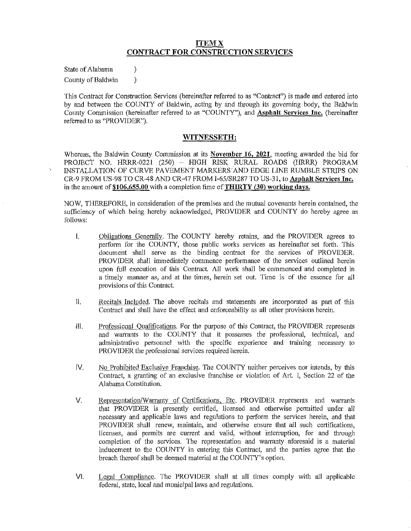## **ITEMX CONTRACT FOR CONSTRUCTION SERVICES**

State of Alabama (1) County of Baldwin (1)

This Contract for Construction Services (hereinafter referred to as "Contract") is made and entered into by and between the COUNTY of Baldwin, acting by and through its governing body, the Baldwin County Commission (hereinafter referred to as "COUNTY"), and **Asphalt Services Inc.** (hereinafter referred to as "PROVIDER").

### **WITNESSETH:**

Whereas, the Baldwin County Commission at its **November 16, 2021,** meeting awarded the bid for PROJECT NO. HRRR-0221 (250) - HIGH RISK RURAL ROADS (HRRR) PROGRAM INSTALLATION OF CURVE PAVEMENT MARKERS AND EDGE LINE RUMBLE STRIPS ON CR-9 FROM US-98 TO CR-48 AND CR-47 FROM I-65/SR287 TO US-31, to **Asphalt Services Inc.**  in the amount of \$106,655.00 with a completion time of **THIRTY (30) working days.** 

NOW, THEREFORE, in consideration of the premises and the mutual covenants herein contained, the sufficiency of which being hereby acknowledged, PROVIDER and COUNTY do hereby agree as follows:

- I. Obligations Generally. The COUNTY hereby retains, and the PROVIDER agrees to perform for the COUNTY, those public works services as hereinafter set forth. This document shall serve as the binding contract for the services of PROVIDER. PROVIDER shall immediately commence performance of the services outlined herein upon full execution of this Contract. All work shall be commenced and completed in a timely manner as, and at the times, herein set out. Time is of the essence for all provisions of this Contract.
- II. Recitals Included. The above recitals and statements are incorporated as part of this Contract and shall have the effect and enforceability as all other provisions herein.
- Ill. Professional Qualifications. For the purpose of this Contract, the PROVIDER represents and warrants to the COUNTY that it possesses the professional, technical, and administrative personnel with the specific experience and training necessary to PROVIDER the professional services required herein.
- IV. No Prohibited Exclusive Franchise. The COUNTY neither perceives nor intends, by this Contract, a granting of an exclusive franchise or violation of Art. I, Section 22 of the Alabama Constitution.
- V. Representation/Warrantv of Certifications. Etc. PROVIDER represents and warrants that PROVIDER is presently certified, licensed and otherwise permitted under all necessary and applicable laws and regnlations to perform the services herein, and that PROVIDER shall renew, maintain, and otherwise ensure that all such certifications, licenses, and permits are current and valid, without interruption, for and through completion of the services. The representation and warranty aforesaid is a material inducement to the COUNTY in entering this Contract, and the parties agree that the breach thereof shall be deemed material at the COUNTY's option.
- VI. Legal Compliance. The PROVIDER shall at all times comply with all applicable federal, state, local and municipal laws and regulations.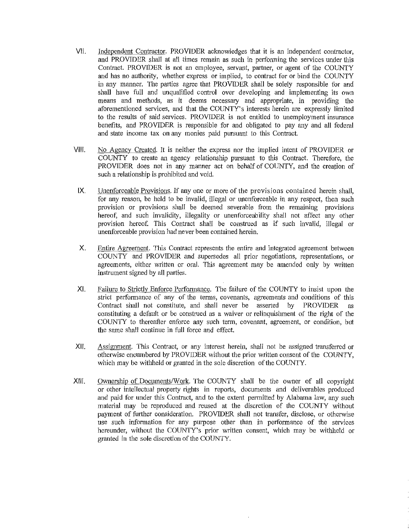- VII. Independent Contractor. PROVIDER acknowledges that it is an independent contractor, and PROVIDER shall at all times remain as such in performing the services under this Contract. PROVIDER is not an employee, servant, partner, or agent of the COUNTY and has no authority, whether express or implied, to contract for or bind the COUNTY in any manner. The parties agree that PROVIDER shall be solely responsible for and shall have full and unqualified control over developing and implementing its own means and methods, as it deems necessary and appropriate, in providing the aforementioned services, and that the COUNTY' s interests herein are expressly limited to the results of said services. PROVIDER is not entitled to unemployment insurance benefits, and PROVIDER is responsible for and obligated to pay any and all federal and state income tax on any monies paid pursuant to this Contract.
- VIII. No Agency Created. It is neither the express nor the implied intent of PROVIDER or COUNTY to create an agency relationship pursuant to this Contract. Therefore, the PROVIDER does not in any manner act on behalf of COUNTY, and the creation of such a relationship is prohibited and void.
- IX. Unenforceable Provisions. If any one or more of the provisions contained herein shall, for any reason, be held to be invalid, illegal or unenforceable in any respect, then such provision or provisions shall be deemed severable from the remaining provisions hereof, and such invalidity, illegality or unenforceability shall not affect any other provision hereof. This Contract shall be construed as if such mvalid, illegal or unenforceable provision had never been contained herein.
- X. Entire Agreement. This Contract represents the entire and integrated agreement between COUNTY and PROVIDER and supersedes all prior negotiations, representations, or agreements, either written or oral. This agreement may be amended only by written instrument signed by all parties.
- XI. Failure to Strictly Enforce Performance. The failure of the COUNTY to insist upon the strict performance of any of the terms, covenants, agreements and conditions of this Contract shall not constitute, and shall never be asserted by PROVIDER as constituting a default or be construed as a waiver or relinquislnnent of the right of the COUNTY to thereafter enforce any such term, covenant, agreement, or condition, but the same shall continue in full force and effect.
- XII. Assignment. This Contract, or any interest herein, shall not be assigned transferred or otherwise encumbered by PROVIDER without the prior written consent of the COUNTY, which may be withheld or granted in the sole discretion of the COUNTY.
- XIII. Ownership of Docmnents/Work. The COUNTY shall be the owner of all copyright or other intellectual property rights in reports, documents and deliverables produced and paid for under this Contract, and to the extent permitted by Alabama law, any such material may be reproduced and reused at the discretion of the COUNTY without payment of further consideration. PROVIDER shall not transfer, disclose, or otherwise use such information for any purpose other than in perfonnance of the services hereunder, without the COUNTY's prior written consent, which may be withheld or granted in the sole discretion of the COUNTY.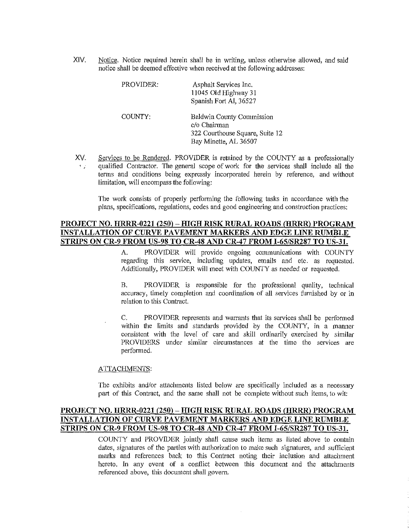XIV. Notice. Notice required herein shall be in writing, unless otherwise allowed, and said notice shall be deemed effective when received at the following addresses:

| PROVIDER: | Asphalt Services Inc.<br>11045 Old Highway 31<br>Spanish Fort Al, 36527                               |
|-----------|-------------------------------------------------------------------------------------------------------|
| COUNTY:   | Baldwin County Commission<br>c/o Chairman<br>322 Courthouse Square, Suite 12<br>Bay Minette, AL 36507 |

XV. Services to be Rendered. PROVIDER is retained by the COUNTY as a professionally qualified Contractor. The general scope of work for the services shall include all the  $\mathcal{F}(\mathcal{G})$ terms and conditions being expressly incorporated herein by reference, and without limitation, will encompass the following:

The work consists of properly performing the following tasks in accordance with the plans, specifications, regulations, codes and good engineering and construction practices:

## **PROJECT NO. HRRR-0221 (250) - HIGH RISK RURAL ROADS (HRRR) PROGRAM INSTALLATION OF CURVE PAVEMENT MARKERS AND EDGE LINE RUMBLE STRIPS ON CR-9 FROM US-98 TO CR-48 AND CR-47 FROM l-65/SR287 TO US-31.**

A. PROVIDER will provide ongoing communications with COUNTY regarding this service, including updates, emails and etc. as requested. Additionally, PROVIDER will meet with COUNTY as needed or requested.

B. PROVIDER is responsible for the professional quality, technical accuracy, timely completion and coordination of all services furnished by or in relation to this Contract.

C. PROVIDER represents and warrants that its services shall be performed within the limits and standards provided by the COUNTY, in a manner consistent with the level of care and skill ordinarily exercised by similar PROVIDERS under similar circumstances at the time the services are performed.

### ATTACHMENTS:

The exhibits and/or attachments listed below are specifically included as a necessary part of this Contract, and the same shall not be complete without such items, to wit:

# **PROJECT NO. HRRR-0221 (250) - HIGH RISK RURAL ROADS (HRRR) PROGRAM INSTALLATION OF CURVE PAVEMENT MARKERS AND EDGE LINE RUMBLE STRIPS ON CR-9 FROM US-98 TO CR-48 AND CR-47 FROM I-65/SR287 TO US-31.**

COUNTY and PROVIDER jointly shall cause such items as listed above to contain dates, signatures of the parties with authorization to malce such signatures, and sufficient marks and references back to this Contract noting their inclusion and attachment hereto. In any event of a conflict between this document and the attachments referenced above, this document shall govern.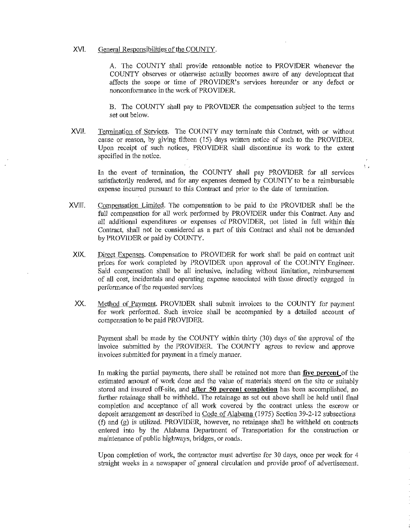### XVI. General Responsibilities of the COUNTY.

A. The COUNTY shall provide reasonable notice to PROVIDER whenever the COUNTY observes or otherwise actually becomes aware of any development that affects the scope or time of PROVIDER's services hereunder or any defect or non conformance in the work of PROVIDER.

B. The COUNTY shall pay to PROVIDER the compensation subject to the terms set out below.

XVII. Termination of Services. The COUNTY may terminate this Contract, with or without cause or reason, by giving fifteen (15) days written notice of such to the PROVIDER. Upon receipt of such notices, PROVIDER shall discontinue its work to the extent specified in the notice.

In the event of termination, the COUNTY shall pay PROVIDER for all services satisfactorily rendered, and for any expenses deemed by COUNTY to be a reimbursable expense incurred pursuant to this Contract and prior to the date of termination.

ŧ,

- XVIII. Compensation Limited. The compensation to be paid to the PROVIDER shall be the full compensation for all work performed by PROVIDER under this Contract. Any and all additional expenditures or expenses of PROVIDER, not listed in full within this Contract, shall not be considered as a part of this Contract and shall not be demanded by PROVIDER or paid by COUNTY.
- XIX. Direct Expenses. Compensation to PROVIDER for work shall be paid on contract unit prices for work completed by PROVIDER upon approval of the COUNTY Engineer. Said compensation shall be all inclusive, including without limitation, reimbursement of all cost, incidentals and operating expense associated with those directly engaged in performance of the requested services
- XX. Method of Payment. PROVlDER shall submit invoices to the COUNTY for payment for work performed. Such invoice shall be accompanied by a detailed account of compensation to be paid PROVIDER.

Payment shall be made by the COUNTY within thirty (30) days of the approval of the invoice submitted by the PROVIDER. The COUNTY agrees to review and approve invoices submitted for payment in a timely manner.

In making the partial payments, there shall be retained not more than **five percent** of the estimated amount of work done and the value of materials stored on the site or suitably stored and insured off-site, and **after 50 percent completion** has been accomplished, no further retainage shall be withheld. The retainage as set out above shall be held until final completion and acceptance of all work covered by the contract unless the escrow or deposit arrangement as described in Code of Alabama (1975) Section 39-2-12 subsections  $(f)$  and  $(g)$  is utilized. PROVIDER, however, no retainage shall be withheld on contracts entered into by the Alabama Department of Transportation for the construction or maintenance of public highways, bridges, or roads.

Upon completion of work, the contractor must advertise for 30 days, once per week for 4 straight weeks in a newspaper of general circulation and provide proof of advertisement.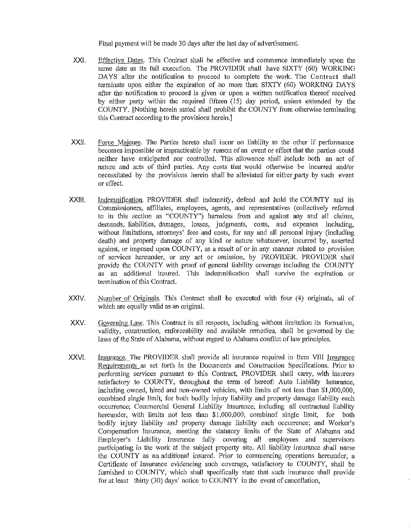Final payment will be made 30 days after the last day of advertisement.

- XXI. Effective Dates. This Contract shall be effective and commence immediately upon the same date as its full execution. The PROVIDER shall have SIXTY (60) WORKING DAYS after the notification to proceed to complete the work. The Contract shall terminate upon either the expiration of no more than SIXTY (60) WORKING DAYS after the notification to proceed is given or upon a written notification thereof received by either party within the required fifteen (15) day period, unless extended by the COUNTY. [Nothing herein stated shall prohibit the COUNTY from otherwise terminating this Contract according to the provisions herein.]
- XX/I. Force Majeure. The Parties hereto shall incur no liability to the other if performance becomes impossible or impracticable by reason of an event or effect that the parties could neither have anticipated nor controlled. This allowance shall include both an act of nature and acts of third parties. Any costs that would otherwise be incurred and/or necessitated by the provisions herein shall be alleviated for either party by such event or effect.
- XXll/. Indemnification. PROVIDER shall indemnify, defend and hold the COUNTY and its Commissioners, affiliates, employees, agents, and representatives (collectively referred to in this section as "COUNTY") harmless from and against any and all claims, demands, liabilities, damages, losses, judgments, costs, and expenses including, without limitations, attorneys' fees and costs, for any and all personal injury (including death) and property damage of any kind or nature whatsoever, incurred by, asserted against, or imposed upon COUNTY, as a result of or in any manner related to provision of services heretmder, or any act or omission, by PROVIDER. PROVIDER shall provide the COUNTY with proof of general liability coverage including the COUNTY as an additional insured. This indemnification shall survive the expiration or termination of this Contract.
- XXIV. Number of Originals. This Contract shall be executed with four (4) originals, all of which are equally valid as an original.
- xxv. Governing Law. This Contract in all respects, including without limitation its formation, validity, construction, enforceability and available remedies, shall be governed by the laws of the State of Alabama, without regard to Alabama conflict of law principles.
- XXVI. Insurance. The PROVIDER shall provide all insurance required in Item VIII Insurance Requirements as set forth in the Documents and Construction Specifications. Prior to perfonning services pursuant to this Contract, PROVIDER shall carry, with insurers satisfactory to COUNTY, throughout the term of hereof: Auto Liability Insurance, including owned, hired and non-owned vehicles, with limits of not less than \$1,000,000, combined single limit, for both bodily injury liability and property damage liability each occurrence; Commercial General Liability Insurance, including all contractual liability hereunder, with limits not less than \$1,000,000, combined single limit, for both bodily injury liability and property damage liability each occurrence; and Worker's Compensation Insurance, meeting the statutory limits of the State of Alabama and Employer's Liability Insurance fully covering all employees and supervisors participating in the work at the subject property site. All liability insurance shall name the COUNTY as an additional insured. Prior to commencing operations hereunder, a Certificate of Insurance evidencing such coverage, satisfactory to COUNTY, shall be furnished to COUNTY, which shall specifically state that such insurance shall provide for at least thirty (30) days' notice to COUNTY in the event of cancellation,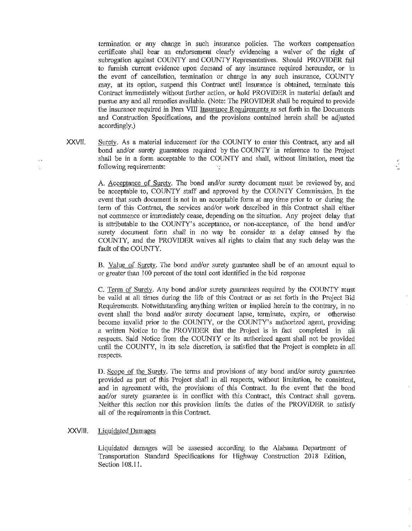termination or any change in such insurance policies. The workers compensation certificate shall bear an endorsement clearly evidencing a waiver of the right of subrogation against COUNTY and COUNTY Representatives. Should PROVIDER fail to furnish current evidence upon demand of any insurance required hereunder, or in the event of cancellation, tennination or change in any such insurance, COUNTY may, at its option, suspend this Contract until insurance is obtained, terminate this Contract immediately without further action, or hold PROVIDER in material default and pursue any and all remedies available. (Note: The PROVIDER shall be required to provide the insurance required in Item VIII Insurance Requirements as set forth in the Docmnents and Construction Specifications, and the provisions contained herein shall be adjusted accordingly.)

XXVll. Surety. As a material inducement for the COUNTY to enter this Contract, any and all bond and/or surety guarantees required by the COUNTY in reference to the Project shall be in a form acceptable to the COUNTY and shall, without limitation, meet the following requirements: Ń.

> A. Acceptance of Surety. The bond and/or surety document must be reviewed by, and be acceptable to, COUNTY staff and approved by the COUNTY Commission. In the event that such document is not in an acceptable form at any time prior to or during the term of this Contract, the services and/or work described in this Contract shall either not commence or immediately cease, depending on the situation. Any project delay that is attributable to the COUNTY's acceptance, or non-acceptance, of the bond and/or surety document form shall in no way be consider as a delay caused by the COUNTY, and the PROVIDER waives all rights to claim that any such delay was the fault of the COUNTY.

> B. Value of Suretv. The bond and/or surety guarantee shall be of an amount equal to or greater than 100 percent of the total cost identified in the bid response

> C. Term of Surety. Any bond and/or surety guarantees required by the COUNTY must be valid at all times during the life of this Contract or as set forth in the Project Bid Requirements. Notwithstanding anything written or implied herein to the contrary, in no event shall the bond and/or surety document lapse, terminate, expire, or otherwise become invalid prior to the COUNTY, or the COUNTY's authorized agent, providing a written Notice to the PROVIDER that the Project is in fact completed in all respects. Said Notice from the COUNTY or its authorized agent shall not be provided until the COUNTY, in its sole discretion, is satisfied that the Project is complete in all respects.

> D. Scope of the Surety. The terms and provisions of any bond and/or surety guarantee provided as part of this Project shall in all respects, without limitation, be consistent, and in agreement with, the provisions of this Contract. In the event· that the bond and/or surety guarantee is in conflict with this Contract, this Contract shall govern. Neither this section nor this provision limits the duties of the PROVIDER to satisfy all of the requirements in this Contract.

#### XXVlll. Liquidated Damages

Liquidated damages will be assessed according to the Alabama Depmiment of Transportation Standard Specifications for Highway Construction 2018 Edition, Section 108.11.

 $\lambda$ 

4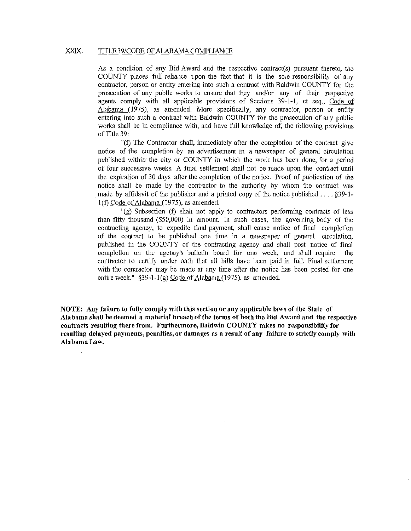### XXIX. TITLE 39/CODE OF ALABAMA COMPLIANCE

As a condition of any Bid Award and the respective contract(s) pursuant thereto, the COUNTY places full reliance upon the fact that it is the sole responsibility of any contractor, person or entity entering into such a contract with Baldwin COUNTY for the prosecution of any public works to ensure that they and/or any of their respective agents comply with all applicable provisions of Sections 39-1-1, et seq., Code of Alabama (1975), as amended. More specifically, any contractor, person or entity entering into such a contract with Baldwin COUNTY for the prosecution of any public works shall be in compliance with, and have full knowledge of, the following provisions of Title 39:

"(f) The Contractor shall, immediately after the completion of the contract give notice of the completion by an advertisement in a newspaper of general circulation published within the city or COUNTY in which the work has been done, for a period of fom successive weeks. A final settlement shall not be made upon the contract tmtil the expiration of 30 days after the completion of the notice. Proof of publication of the notice shall be made by the contractor to the authority by whom the contract was made by affidavit of the publisher and a printed copy of the notice published .... §39-1- 1(f) Code of Alabama (1975), as amended.

"(g) Subsection (f) shall not apply to contractors performing contracts of less than fifty thousand (\$50,000) in amount. In such cases, the governing body of the contracting agency, to expedite final payment, shall cause notice of final completion of the contract to be published one time in a newspaper of general circulation, published in the COUNTY of the contracting agency and shall post notice of final completion on the agency's bulletin board for one week, and shall require the contractor to certify under oath that all bills have been paid in foll. Final settlement with the contractor may be made at any time after the notice has been posted for one entire week." §39-1-l(g) Code of Alabama (1975), as amended.

**NOTE: Any failure to fully comply with this section or any applicable laws of the State of Alabama shall be deemed a material breach of the terms of both the Bid Award and the respective contracts resulting there from. Furthermore, Baldwin COUNTY takes no responsibility for resulting delayed payments, penalties, or damages as a result of any failure to strictly comply with Alabama Law.**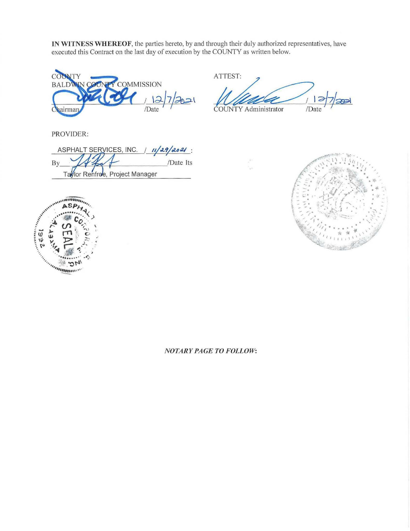IN WITNESS WHEREOF, the parties hereto, by and through their duly authorized representatives, have executed this Contract on the last day of execution by the COUNTY as written below.



ATTEST:

 $7/42$  $\overline{\phantom{a}}$ 

ASPHALT SERVICES, INC.  $11/29/2021$ : /Date Its By Taylor Renfroe, Project Manager





PROVIDER:

*NOTARY PAGE TO FOLLOW:*